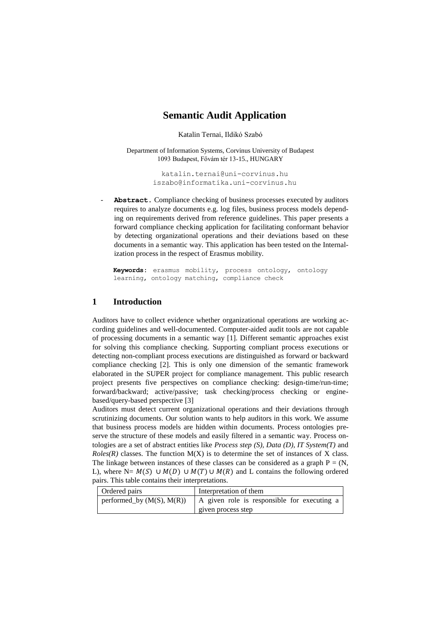# **Semantic Audit Application**

Katalin Ternai, Ildikó Szabó

Department of Information Systems, Corvinus University of Budapest 1093 Budapest, Fővám tér 13-15., HUNGARY

> [katalin.ternai@uni-corvinus.hu](mailto:iszabo@informatika.uni-corvinus.hu) iszabo@informatika.uni-corvinus.hu

Abstract. Compliance checking of business processes executed by auditors requires to analyze documents e.g. log files, business process models depending on requirements derived from reference guidelines. This paper presents a forward compliance checking application for facilitating conformant behavior by detecting organizational operations and their deviations based on these documents in a semantic way. This application has been tested on the Internalization process in the respect of Erasmus mobility.

**Keywords:** erasmus mobility, process ontology, ontology learning, ontology matching, compliance check

## **1 Introduction**

Auditors have to collect evidence whether organizational operations are working according guidelines and well-documented. Computer-aided audit tools are not capable of processing documents in a semantic way [1]. Different semantic approaches exist for solving this compliance checking. Supporting compliant process executions or detecting non-compliant process executions are distinguished as forward or backward compliance checking [2]. This is only one dimension of the semantic framework elaborated in the SUPER project for compliance management. This public research project presents five perspectives on compliance checking: design-time/run-time; forward/backward; active/passive; task checking/process checking or enginebased/query-based perspective [3]

Auditors must detect current organizational operations and their deviations through scrutinizing documents. Our solution wants to help auditors in this work. We assume that business process models are hidden within documents. Process ontologies preserve the structure of these models and easily filtered in a semantic way. Process ontologies are a set of abstract entities like *Process step (S), Data (D), IT System(T)* and  $Roles(R)$  classes. The function  $M(X)$  is to determine the set of instances of X class. The linkage between instances of these classes can be considered as a graph  $P = (N,$ L), where  $N = M(S) \cup M(D) \cup M(T) \cup M(R)$  and L contains the following ordered pairs. This table contains their interpretations.

| <b>Ordered pairs</b>        | Interpretation of them                      |
|-----------------------------|---------------------------------------------|
| performed_by $(M(S), M(R))$ | A given role is responsible for executing a |
|                             | given process step                          |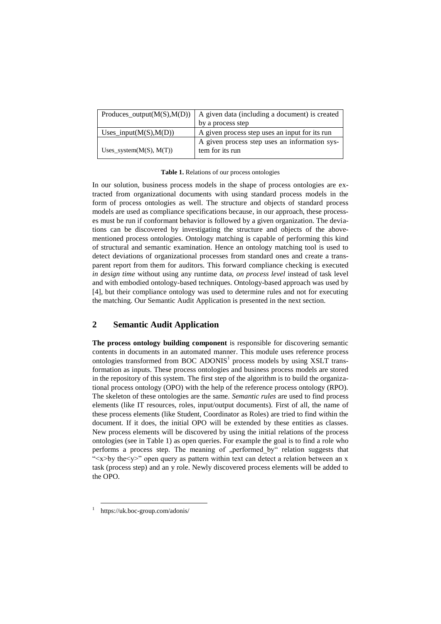| Produces_output $(M(S),M(D))$ | A given data (including a document) is created                   |
|-------------------------------|------------------------------------------------------------------|
|                               | by a process step                                                |
| Uses_input $(M(S),M(D))$      | A given process step uses an input for its run                   |
| Uses_system $(M(S), M(T))$    | A given process step uses an information sys-<br>tem for its run |

**Table 1.** Relations of our process ontologies

In our solution, business process models in the shape of process ontologies are extracted from organizational documents with using standard process models in the form of process ontologies as well. The structure and objects of standard process models are used as compliance specifications because, in our approach, these processes must be run if conformant behavior is followed by a given organization. The deviations can be discovered by investigating the structure and objects of the abovementioned process ontologies. Ontology matching is capable of performing this kind of structural and semantic examination. Hence an ontology matching tool is used to detect deviations of organizational processes from standard ones and create a transparent report from them for auditors. This forward compliance checking is executed *in design time* without using any runtime data, *on process level* instead of task level and with embodied ontology-based techniques. Ontology-based approach was used by [4], but their compliance ontology was used to determine rules and not for executing the matching. Our Semantic Audit Application is presented in the next section.

## **2 Semantic Audit Application**

**The process ontology building component** is responsible for discovering semantic contents in documents in an automated manner. This module uses reference process ontologies transformed from BOC ADONIS<sup>1</sup> process models by using XSLT transformation as inputs. These process ontologies and business process models are stored in the repository of this system. The first step of the algorithm is to build the organizational process ontology (OPO) with the help of the reference process ontology (RPO). The skeleton of these ontologies are the same. *Semantic rules* are used to find process elements (like IT resources, roles, input/output documents). First of all, the name of these process elements (like Student, Coordinator as Roles) are tried to find within the document. If it does, the initial OPO will be extended by these entities as classes. New process elements will be discovered by using the initial relations of the process ontologies (see in Table 1) as open queries. For example the goal is to find a role who performs a process step. The meaning of "performed by" relation suggests that " $\langle x \rangle$ by the $\langle y \rangle$ " open query as pattern within text can detect a relation between an x task (process step) and an y role. Newly discovered process elements will be added to the OPO.

-1

https://uk.boc-group.com/adonis/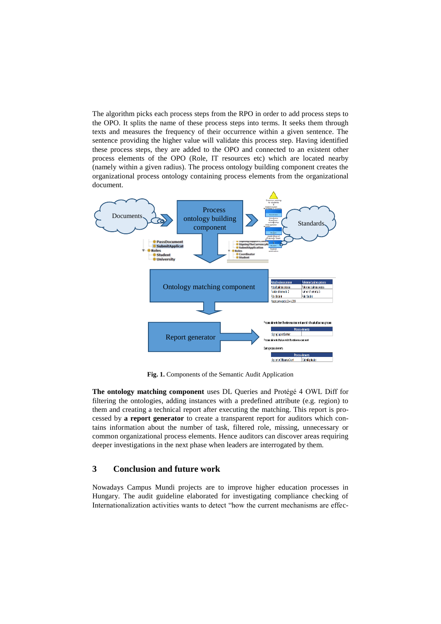The algorithm picks each process steps from the RPO in order to add process steps to the OPO. It splits the name of these process steps into terms. It seeks them through texts and measures the frequency of their occurrence within a given sentence. The sentence providing the higher value will validate this process step. Having identified these process steps, they are added to the OPO and connected to an existent other process elements of the OPO (Role, IT resources etc) which are located nearby (namely within a given radius). The process ontology building component creates the organizational process ontology containing process elements from the organizational document.



**Fig. 1.** Components of the Semantic Audit Application

**The ontology matching component** uses DL Queries and Protégé 4 OWL Diff for filtering the ontologies, adding instances with a predefined attribute (e.g. region) to them and creating a technical report after executing the matching. This report is processed by **a report generator** to create a transparent report for auditors which contains information about the number of task, filtered role, missing, unnecessary or common organizational process elements. Hence auditors can discover areas requiring deeper investigations in the next phase when leaders are interrogated by them.

## **3 Conclusion and future work**

Nowadays Campus Mundi projects are to improve higher education processes in Hungary. The audit guideline elaborated for investigating compliance checking of Internationalization activities wants to detect "how the current mechanisms are effec